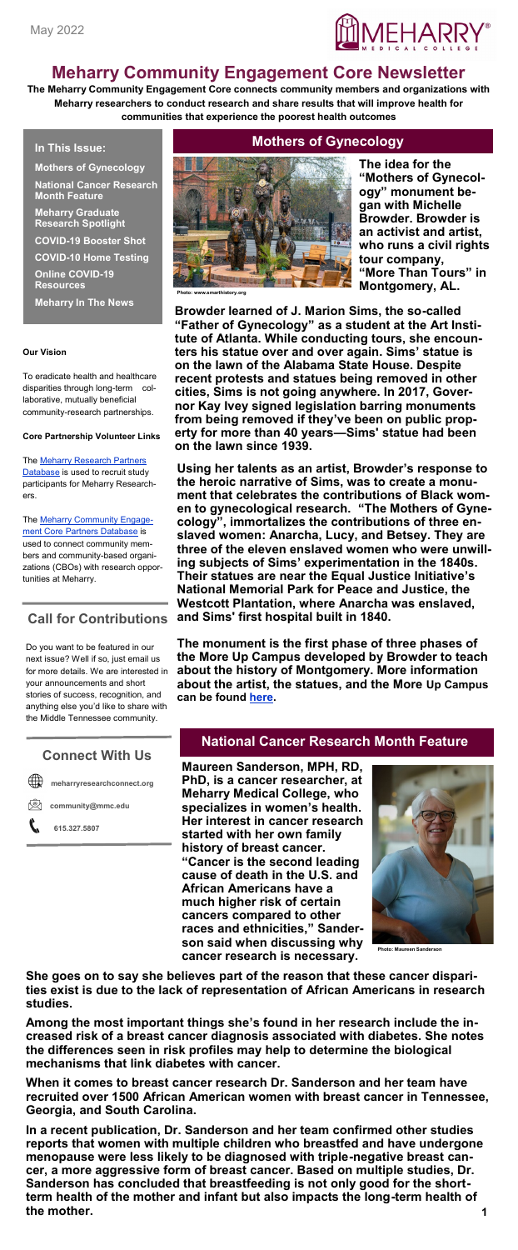

# **Meharry Community Engagement Core Newsletter**

**The Meharry Community Engagement Core connects community members and organizations with Meharry researchers to conduct research and share results that will improve health for communities that experience the poorest health outcomes**

**In This Issue:**

**Mothers of Gynecology National Cancer Research Month Feature**

**Meharry Graduate Research Spotlight**

**COVID-19 Booster Shot**

**COVID-10 Home Testing**

**Online COVID-19 Resources**

**Meharry In The News**

#### **Our Vision**

To eradicate health and healthcare disparities through long-term collaborative, mutually beneficial community-research partnerships.

#### **Core Partnership Volunteer Links**

The [Meharry Research Partners](https://redcap.vanderbilt.edu/surveys/index.php?s=PT7FJMX4CD)  [Database](https://redcap.vanderbilt.edu/surveys/index.php?s=PT7FJMX4CD) is used to recruit study participants for Meharry Researchers.

The **Meharry Community Engage**[ment Core Partners Database](https://redcap.vanderbilt.edu/surveys/?s=FPKKFRXFY7) is used to connect community members and community-based organizations (CBOs) with research opportunities at Meharry.

#### **Call for Contributions**

Do you want to be featured in our next issue? Well if so, just email us for more details. We are interested in your announcements and short stories of success, recognition, and anything else you'd like to share with the Middle Tennessee community.

#### **Connect With Us**

**Fig. meharryresearchconnect.org** 

**community@mmc.edu** 

 **615.327.5807**

## **Mothers of Gynecology**



**The idea for the "Mothers of Gynecology" monument began with Michelle Browder. Browder is an activist and artist, who runs a civil rights tour company, "More Than Tours" in Montgomery, AL.** 

**Browder learned of J. Marion Sims, the so-called "Father of Gynecology" as a student at the Art Institute of Atlanta. While conducting tours, she encounters his statue over and over again. Sims' statue is on the lawn of the Alabama State House. Despite recent protests and statues being removed in other cities, Sims is not going anywhere. In 2017, Governor Kay Ivey signed legislation barring monuments from being removed if they've been on public property for more than 40 years—Sims' statue had been on the lawn since 1939.** 

**Using her talents as an artist, Browder's response to the heroic narrative of Sims, was to create a monument that celebrates the contributions of Black women to gynecological research. "The Mothers of Gynecology", immortalizes the contributions of three enslaved women: Anarcha, Lucy, and Betsey. They are three of the eleven enslaved women who were unwilling subjects of Sims' experimentation in the 1840s. Their statues are near the Equal Justice Initiative's National Memorial Park for Peace and Justice, the Westcott Plantation, where Anarcha was enslaved, and Sims' first hospital built in 1840.**

**The monument is the first phase of three phases of the More Up Campus developed by Browder to teach about the history of Montgomery. More information about the artist, the statues, and the More Up Campus can be found [here.](https://www.anarchalucybetsey.org/)** 

## **National Cancer Research Month Feature**

**Maureen Sanderson, MPH, RD, PhD, is a cancer researcher, at Meharry Medical College, who specializes in women's health. Her interest in cancer research started with her own family history of breast cancer. "Cancer is the second leading cause of death in the U.S. and African Americans have a much higher risk of certain cancers compared to other races and ethnicities," Sanderson said when discussing why cancer research is necessary** 



**She goes on to say she believes part of the reason that these cancer disparities exist is due to the lack of representation of African Americans in research studies.** 

**Among the most important things she's found in her research include the increased risk of a breast cancer diagnosis associated with diabetes. She notes the differences seen in risk profiles may help to determine the biological mechanisms that link diabetes with cancer.** 

**When it comes to breast cancer research Dr. Sanderson and her team have recruited over 1500 African American women with breast cancer in Tennessee, Georgia, and South Carolina.** 

**1 In a recent publication, Dr. Sanderson and her team confirmed other studies reports that women with multiple children who breastfed and have undergone menopause were less likely to be diagnosed with triple-negative breast cancer, a more aggressive form of breast cancer. Based on multiple studies, Dr. Sanderson has concluded that breastfeeding is not only good for the shortterm health of the mother and infant but also impacts the long-term health of the mother.**